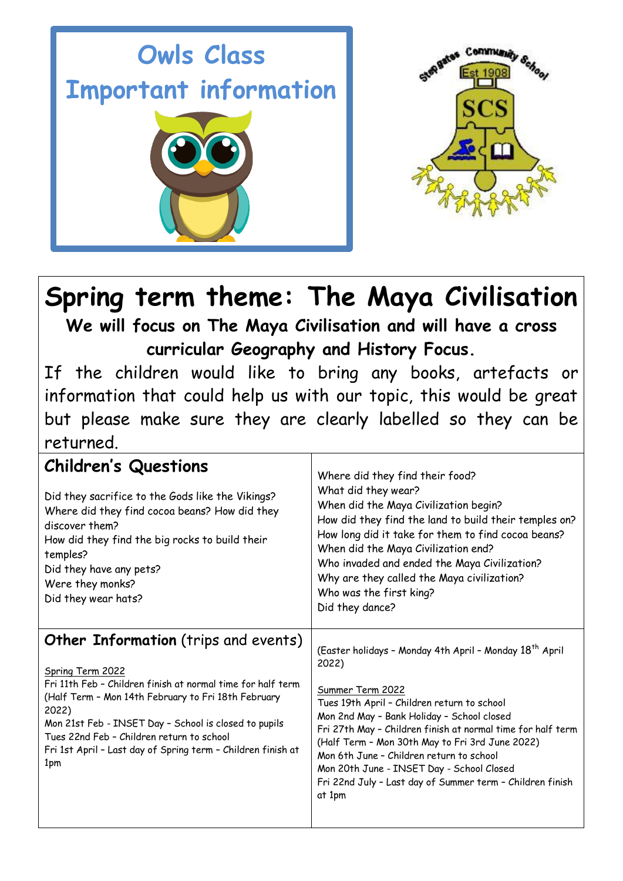



# **Spring term theme: The Maya Civilisation**

**We will focus on The Maya Civilisation and will have a cross curricular Geography and History Focus.**

If the children would like to bring any books, artefacts or information that could help us with our topic, this would be great but please make sure they are clearly labelled so they can be returned.

| <b>Children's Questions</b><br>Did they sacrifice to the Gods like the Vikings?<br>Where did they find cocoa beans? How did they<br>discover them?<br>How did they find the big rocks to build their<br>temples?<br>Did they have any pets?<br>Were they monks?<br>Did they wear hats?                                                                               | Where did they find their food?<br>What did they wear?<br>When did the Maya Civilization begin?<br>How did they find the land to build their temples on?<br>How long did it take for them to find cocoa beans?<br>When did the Maya Civilization end?<br>Who invaded and ended the Maya Civilization?<br>Why are they called the Maya civilization?<br>Who was the first king?<br>Did they dance?                                                                               |
|----------------------------------------------------------------------------------------------------------------------------------------------------------------------------------------------------------------------------------------------------------------------------------------------------------------------------------------------------------------------|---------------------------------------------------------------------------------------------------------------------------------------------------------------------------------------------------------------------------------------------------------------------------------------------------------------------------------------------------------------------------------------------------------------------------------------------------------------------------------|
| Other Information (trips and events)<br>Spring Term 2022<br>Fri 11th Feb - Children finish at normal time for half term<br>(Half Term - Mon 14th February to Fri 18th February<br>2022)<br>Mon 21st Feb - INSET Day - School is closed to pupils<br>Tues 22nd Feb - Children return to school<br>Fri 1st April - Last day of Spring term - Children finish at<br>1pm | (Easter holidays - Monday 4th April - Monday 18 <sup>th</sup> April<br>2022)<br>Summer Term 2022<br>Tues 19th April - Children return to school<br>Mon 2nd May - Bank Holiday - School closed<br>Fri 27th May - Children finish at normal time for half term<br>(Half Term - Mon 30th May to Fri 3rd June 2022)<br>Mon 6th June - Children return to school<br>Mon 20th June - INSET Day - School Closed<br>Fri 22nd July - Last day of Summer term - Children finish<br>at 1pm |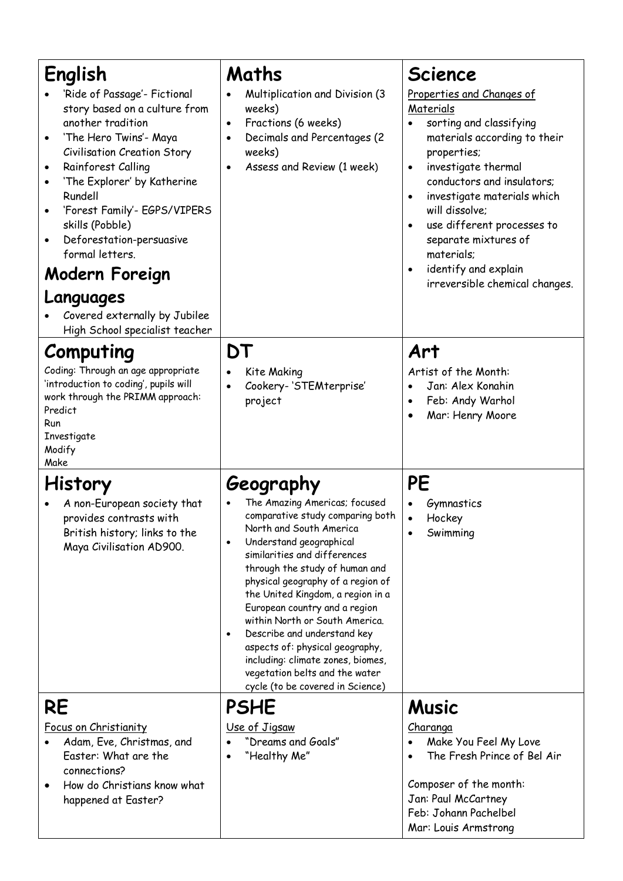| English<br>'Ride of Passage'- Fictional<br>story based on a culture from<br>another tradition<br>'The Hero Twins'- Maya<br>Civilisation Creation Story<br>Rainforest Calling<br>'The Explorer' by Katherine<br>Rundell<br>'Forest Family'- EGPS/VIPERS<br>skills (Pobble)<br>Deforestation-persuasive<br>formal letters.<br>Modern Foreign<br>Languages<br>Covered externally by Jubilee<br>High School specialist teacher | Maths<br>Multiplication and Division (3<br>weeks)<br>Fractions (6 weeks)<br>$\bullet$<br>Decimals and Percentages (2<br>$\bullet$<br>weeks)<br>Assess and Review (1 week)<br>٠                                                                                                                                                                                                                                                                                                                                                                | <b>Science</b><br>Properties and Changes of<br>Materials<br>sorting and classifying<br>materials according to their<br>properties;<br>investigate thermal<br>$\bullet$<br>conductors and insulators;<br>investigate materials which<br>will dissolve;<br>use different processes to<br>$\bullet$<br>separate mixtures of<br>materials;<br>identify and explain<br>irreversible chemical changes. |
|----------------------------------------------------------------------------------------------------------------------------------------------------------------------------------------------------------------------------------------------------------------------------------------------------------------------------------------------------------------------------------------------------------------------------|-----------------------------------------------------------------------------------------------------------------------------------------------------------------------------------------------------------------------------------------------------------------------------------------------------------------------------------------------------------------------------------------------------------------------------------------------------------------------------------------------------------------------------------------------|--------------------------------------------------------------------------------------------------------------------------------------------------------------------------------------------------------------------------------------------------------------------------------------------------------------------------------------------------------------------------------------------------|
| Computing<br>Coding: Through an age appropriate<br>'introduction to coding', pupils will<br>work through the PRIMM approach:<br>Predict<br>Run<br>Investigate<br>Modify<br>Make                                                                                                                                                                                                                                            | DT<br>Kite Making<br>Cookery-'STEMterprise'<br>project                                                                                                                                                                                                                                                                                                                                                                                                                                                                                        | Art<br>Artist of the Month:<br>Jan: Alex Konahin<br>Feb: Andy Warhol<br>$\bullet$<br>Mar: Henry Moore                                                                                                                                                                                                                                                                                            |
| <b>History</b><br>A non-European society that<br>provides contrasts with<br>British history; links to the<br>Maya Civilisation AD900.                                                                                                                                                                                                                                                                                      | Geography<br>The Amazing Americas; focused<br>comparative study comparing both<br>North and South America<br>Understand geographical<br>similarities and differences<br>through the study of human and<br>physical geography of a region of<br>the United Kingdom, a region in a<br>European country and a region<br>within North or South America.<br>Describe and understand key<br>$\bullet$<br>aspects of: physical geography,<br>including: climate zones, biomes,<br>vegetation belts and the water<br>cycle (to be covered in Science) | PE<br>Gymnastics<br>Hockey<br>$\bullet$<br>Swimming                                                                                                                                                                                                                                                                                                                                              |
| RE<br>Focus on Christianity<br>Adam, Eve, Christmas, and<br>Easter: What are the<br>connections?<br>How do Christians know what<br>happened at Easter?                                                                                                                                                                                                                                                                     | <b>PSHE</b><br>Use of Jigsaw<br>"Dreams and Goals"<br>"Healthy Me"                                                                                                                                                                                                                                                                                                                                                                                                                                                                            | <b>Music</b><br><b>Charanga</b><br>Make You Feel My Love<br>The Fresh Prince of Bel Air<br>Composer of the month:<br>Jan: Paul McCartney<br>Feb: Johann Pachelbel<br>Mar: Louis Armstrong                                                                                                                                                                                                        |